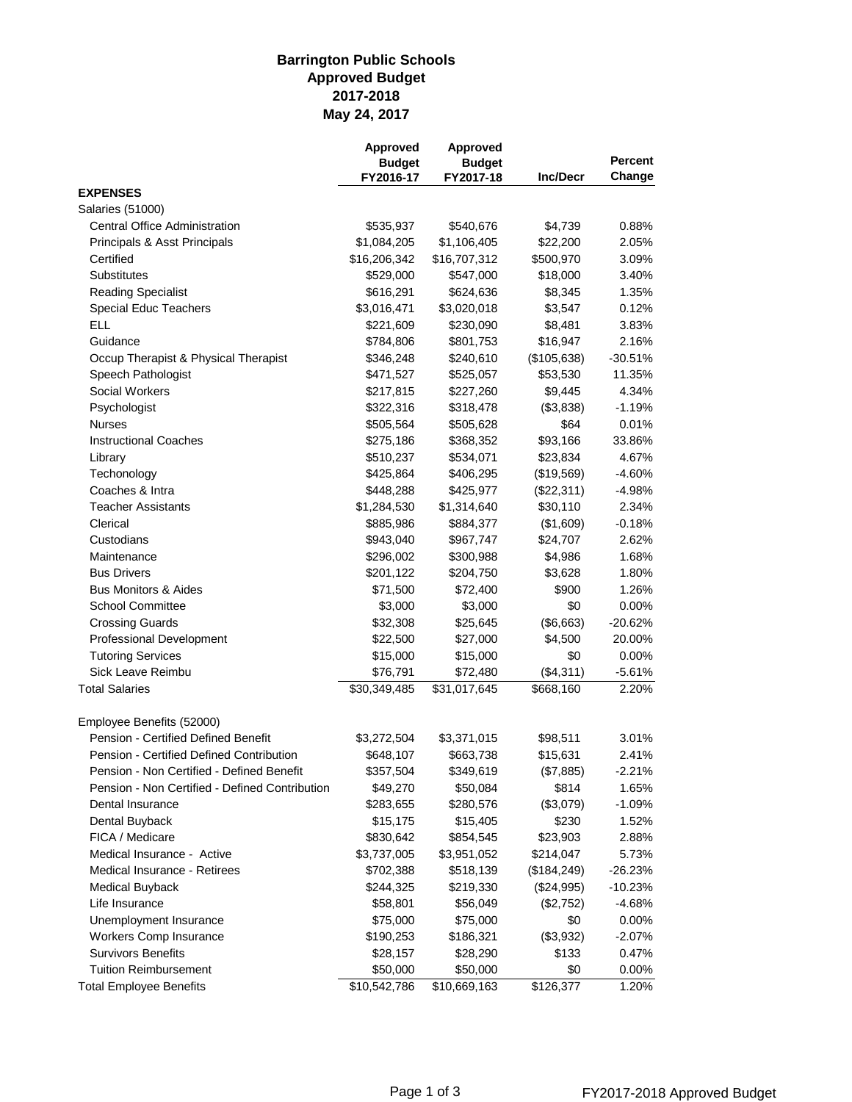## **May 24, 2017 Barrington Public Schools Approved Budget 2017-2018**

|                                                            | Approved<br><b>Budget</b><br>FY2016-17 | Approved<br><b>Budget</b><br>FY2017-18 | <b>Inc/Decr</b> | <b>Percent</b><br>Change |
|------------------------------------------------------------|----------------------------------------|----------------------------------------|-----------------|--------------------------|
|                                                            |                                        |                                        |                 |                          |
|                                                            |                                        |                                        |                 |                          |
| <b>EXPENSES</b>                                            |                                        |                                        |                 |                          |
| <b>Salaries (51000)</b>                                    |                                        |                                        |                 |                          |
| <b>Central Office Administration</b>                       | \$535,937                              | \$540,676                              | \$4,739         | 0.88%                    |
| Principals & Asst Principals                               | \$1,084,205                            | \$1,106,405                            | \$22,200        | 2.05%                    |
| Certified                                                  | \$16,206,342                           | \$16,707,312                           | \$500,970       | 3.09%                    |
| Substitutes                                                | \$529,000                              | \$547,000                              | \$18,000        | 3.40%                    |
| <b>Reading Specialist</b>                                  | \$616,291                              | \$624,636                              | \$8,345         | 1.35%                    |
| Special Educ Teachers                                      | \$3,016,471                            | \$3,020,018                            | \$3,547         | 0.12%                    |
| <b>ELL</b>                                                 | \$221,609                              | \$230,090                              | \$8,481         | 3.83%                    |
| Guidance                                                   | \$784,806                              | \$801,753                              | \$16,947        | 2.16%                    |
| Occup Therapist & Physical Therapist                       | \$346,248                              | \$240,610                              | (\$105,638)     | $-30.51%$                |
| Speech Pathologist                                         | \$471,527                              | \$525,057                              | \$53,530        | 11.35%                   |
| Social Workers                                             | \$217,815                              | \$227,260                              | \$9,445         | 4.34%                    |
| Psychologist                                               | \$322,316                              | \$318,478                              | (\$3,838)       | $-1.19%$                 |
| <b>Nurses</b>                                              | \$505,564                              | \$505,628                              | \$64            | 0.01%                    |
| <b>Instructional Coaches</b>                               | \$275,186                              | \$368,352                              | \$93,166        | 33.86%                   |
| Library                                                    | \$510,237                              | \$534,071                              | \$23,834        | 4.67%                    |
| Techonology                                                | \$425,864                              | \$406,295                              | (\$19,569)      | $-4.60%$                 |
| Coaches & Intra                                            | \$448,288                              | \$425,977                              | (\$22,311)      | $-4.98%$                 |
| <b>Teacher Assistants</b>                                  | \$1,284,530                            | \$1,314,640                            | \$30,110        | 2.34%                    |
| Clerical                                                   | \$885,986                              | \$884,377                              | (\$1,609)       | $-0.18%$                 |
| Custodians                                                 | \$943,040                              | \$967,747                              | \$24,707        | 2.62%                    |
| Maintenance                                                | \$296,002                              | \$300,988                              | \$4,986         | 1.68%                    |
| <b>Bus Drivers</b>                                         | \$201,122                              | \$204,750                              | \$3,628         | 1.80%                    |
| <b>Bus Monitors &amp; Aides</b>                            | \$71,500                               | \$72,400                               | \$900           | 1.26%                    |
| <b>School Committee</b>                                    | \$3,000                                | \$3,000                                | \$0             | 0.00%                    |
| <b>Crossing Guards</b>                                     | \$32,308                               | \$25,645                               | (\$6,663)       | $-20.62%$                |
| Professional Development                                   | \$22,500                               | \$27,000                               | \$4,500         | 20.00%                   |
| <b>Tutoring Services</b>                                   | \$15,000                               | \$15,000                               | \$0             | 0.00%                    |
| Sick Leave Reimbu                                          | \$76,791                               | \$72,480                               | (\$4,311)       | $-5.61%$                 |
| <b>Total Salaries</b>                                      | \$30,349,485                           | \$31,017,645                           | \$668,160       | 2.20%                    |
|                                                            |                                        |                                        |                 |                          |
| Employee Benefits (52000)                                  |                                        |                                        |                 |                          |
| Pension - Certified Defined Benefit                        | \$3,272,504                            | \$3,371,015                            | \$98,511        | 3.01%                    |
| Pension - Certified Defined Contribution                   | \$648,107                              | \$663,738                              | \$15,631        | 2.41%                    |
| Pension - Non Certified - Defined Benefit                  | \$357,504                              | \$349,619                              | (\$7,885)       | $-2.21%$                 |
| Pension - Non Certified - Defined Contribution             | \$49,270                               | \$50,084                               | \$814           | 1.65%                    |
| Dental Insurance                                           | \$283,655                              | \$280,576                              | (\$3,079)       | $-1.09%$                 |
| Dental Buyback                                             | \$15,175                               | \$15,405                               | \$230           | 1.52%                    |
| FICA / Medicare                                            | \$830,642                              | \$854,545                              | \$23,903        | 2.88%                    |
|                                                            |                                        |                                        |                 |                          |
| Medical Insurance - Active<br>Medical Insurance - Retirees | \$3,737,005                            | \$3,951,052                            | \$214,047       | 5.73%                    |
|                                                            | \$702,388                              | \$518,139                              | (\$184,249)     | $-26.23%$                |
| <b>Medical Buyback</b>                                     | \$244,325                              | \$219,330                              | (\$24,995)      | $-10.23%$                |
| Life Insurance                                             | \$58,801                               | \$56,049                               | (\$2,752)       | $-4.68%$                 |
| Unemployment Insurance                                     | \$75,000                               | \$75,000                               | \$0             | 0.00%                    |
| <b>Workers Comp Insurance</b>                              | \$190,253                              | \$186,321                              | (\$3,932)       | $-2.07%$                 |
| <b>Survivors Benefits</b>                                  | \$28,157                               | \$28,290                               | \$133           | 0.47%                    |
| <b>Tuition Reimbursement</b>                               | \$50,000                               | \$50,000                               | \$0             | 0.00%                    |
| <b>Total Employee Benefits</b>                             | \$10,542,786                           | \$10,669,163                           | \$126,377       | 1.20%                    |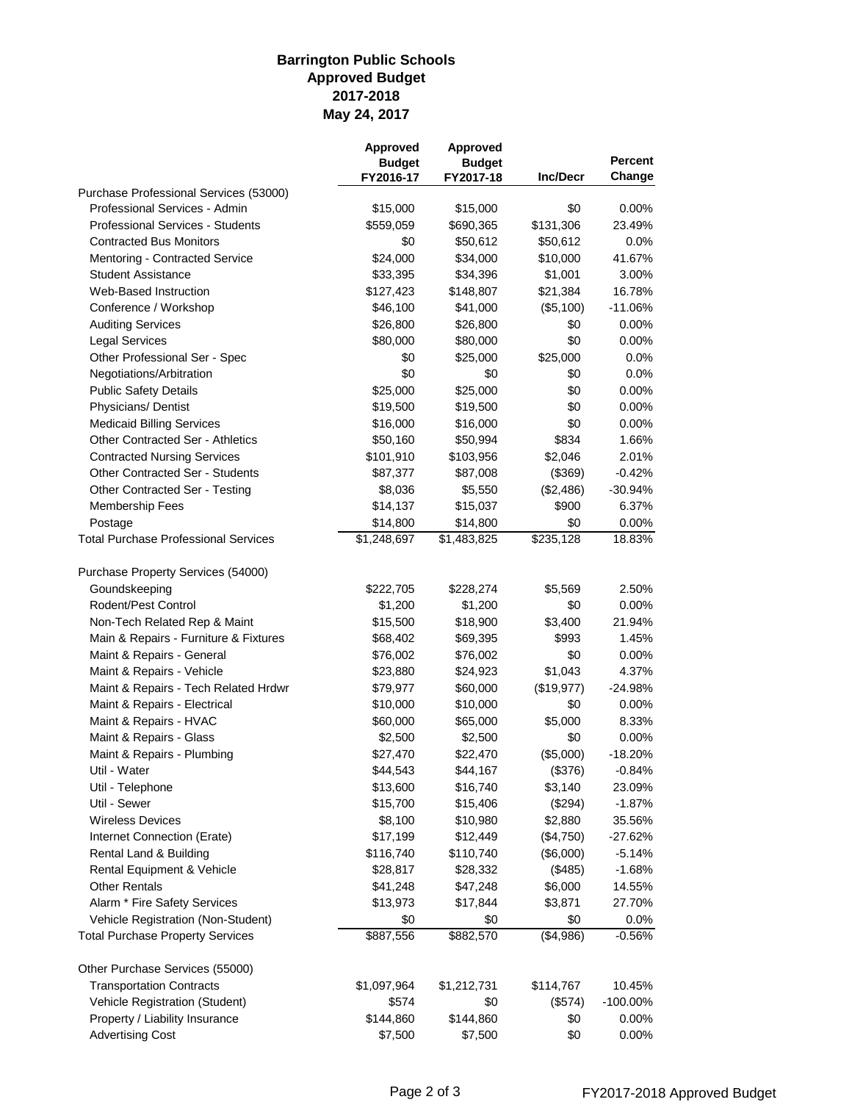## **May 24, 2017 Barrington Public Schools Approved Budget 2017-2018**

|                                             | <b>Approved</b><br><b>Budget</b> | Approved<br><b>Budget</b> | <b>Inc/Decr</b> | <b>Percent</b><br>Change |
|---------------------------------------------|----------------------------------|---------------------------|-----------------|--------------------------|
| Purchase Professional Services (53000)      | FY2016-17                        | FY2017-18                 |                 |                          |
| Professional Services - Admin               | \$15,000                         | \$15,000                  | \$0             | 0.00%                    |
| Professional Services - Students            | \$559,059                        | \$690,365                 | \$131,306       | 23.49%                   |
| <b>Contracted Bus Monitors</b>              | \$0                              | \$50,612                  | \$50,612        | 0.0%                     |
| Mentoring - Contracted Service              | \$24,000                         | \$34,000                  | \$10,000        | 41.67%                   |
| <b>Student Assistance</b>                   | \$33,395                         | \$34,396                  | \$1,001         | 3.00%                    |
| Web-Based Instruction                       | \$127,423                        | \$148,807                 | \$21,384        | 16.78%                   |
| Conference / Workshop                       | \$46,100                         | \$41,000                  | (\$5,100)       | $-11.06%$                |
| <b>Auditing Services</b>                    | \$26,800                         | \$26,800                  | \$0             | $0.00\%$                 |
| <b>Legal Services</b>                       | \$80,000                         | \$80,000                  | \$0             | 0.00%                    |
| Other Professional Ser - Spec               | \$0                              | \$25,000                  | \$25,000        | $0.0\%$                  |
| Negotiations/Arbitration                    | \$0                              | \$0                       | \$0             | 0.0%                     |
| <b>Public Safety Details</b>                | \$25,000                         | \$25,000                  | \$0             | 0.00%                    |
| Physicians/Dentist                          | \$19,500                         | \$19,500                  | \$0             | 0.00%                    |
| <b>Medicaid Billing Services</b>            | \$16,000                         | \$16,000                  | \$0             | 0.00%                    |
| <b>Other Contracted Ser - Athletics</b>     | \$50,160                         | \$50,994                  | \$834           | 1.66%                    |
| <b>Contracted Nursing Services</b>          | \$101,910                        | \$103,956                 | \$2,046         | 2.01%                    |
| <b>Other Contracted Ser - Students</b>      | \$87,377                         | \$87,008                  | (\$369)         | $-0.42%$                 |
| Other Contracted Ser - Testing              | \$8,036                          | \$5,550                   | (\$2,486)       | $-30.94%$                |
| <b>Membership Fees</b>                      | \$14,137                         | \$15,037                  | \$900           | 6.37%                    |
| Postage                                     | \$14,800                         | \$14,800                  | \$0             | 0.00%                    |
| <b>Total Purchase Professional Services</b> | \$1,248,697                      | \$1,483,825               | \$235,128       | 18.83%                   |
|                                             |                                  |                           |                 |                          |
| Purchase Property Services (54000)          |                                  |                           |                 |                          |
| Goundskeeping                               | \$222,705                        | \$228,274                 | \$5,569         | 2.50%                    |
| Rodent/Pest Control                         | \$1,200                          | \$1,200                   | \$0             | 0.00%                    |
| Non-Tech Related Rep & Maint                | \$15,500                         | \$18,900                  | \$3,400         | 21.94%                   |
| Main & Repairs - Furniture & Fixtures       | \$68,402                         | \$69,395                  | \$993           | 1.45%                    |
| Maint & Repairs - General                   | \$76,002                         | \$76,002                  | \$0             | 0.00%                    |
| Maint & Repairs - Vehicle                   | \$23,880                         | \$24,923                  | \$1,043         | 4.37%                    |
| Maint & Repairs - Tech Related Hrdwr        | \$79,977                         | \$60,000                  | (\$19,977)      | $-24.98%$                |
| Maint & Repairs - Electrical                | \$10,000                         | \$10,000                  | \$0             | 0.00%                    |
| Maint & Repairs - HVAC                      | \$60,000                         | \$65,000                  | \$5,000         | 8.33%                    |
| Maint & Repairs - Glass                     | \$2,500                          | \$2,500                   | \$0             | $0.00\%$                 |
| Maint & Repairs - Plumbing                  | \$27,470                         | \$22,470                  | (\$5,000)       | $-18.20%$                |
| Util - Water                                | \$44,543                         | \$44,167                  | $($ \$376)      | $-0.84%$                 |
| Util - Telephone                            | \$13,600                         | \$16,740                  | \$3,140         | 23.09%                   |
| Util - Sewer                                | \$15,700                         | \$15,406                  | (\$294)         | $-1.87%$                 |
| <b>Wireless Devices</b>                     | \$8,100                          | \$10,980                  | \$2,880         | 35.56%                   |
| Internet Connection (Erate)                 | \$17,199                         | \$12,449                  | (\$4,750)       | $-27.62%$                |
| Rental Land & Building                      | \$116,740                        | \$110,740                 | (\$6,000)       | $-5.14%$                 |
| Rental Equipment & Vehicle                  | \$28,817                         | \$28,332                  | (\$485)         | $-1.68%$                 |
| <b>Other Rentals</b>                        | \$41,248                         | \$47,248                  | \$6,000         | 14.55%                   |
| Alarm * Fire Safety Services                | \$13,973                         | \$17,844                  | \$3,871         | 27.70%                   |
| Vehicle Registration (Non-Student)          | \$0                              | \$0                       | \$0             | 0.0%                     |
| <b>Total Purchase Property Services</b>     | \$887,556                        | \$882,570                 | (\$4,986)       | $-0.56%$                 |
| Other Purchase Services (55000)             |                                  |                           |                 |                          |
| <b>Transportation Contracts</b>             | \$1,097,964                      | \$1,212,731               | \$114,767       | 10.45%                   |
| Vehicle Registration (Student)              | \$574                            | \$0                       | (\$574)         | -100.00%                 |
| Property / Liability Insurance              | \$144,860                        | \$144,860                 | \$0             | 0.00%                    |
| <b>Advertising Cost</b>                     | \$7,500                          | \$7,500                   | \$0             | 0.00%                    |
|                                             |                                  |                           |                 |                          |